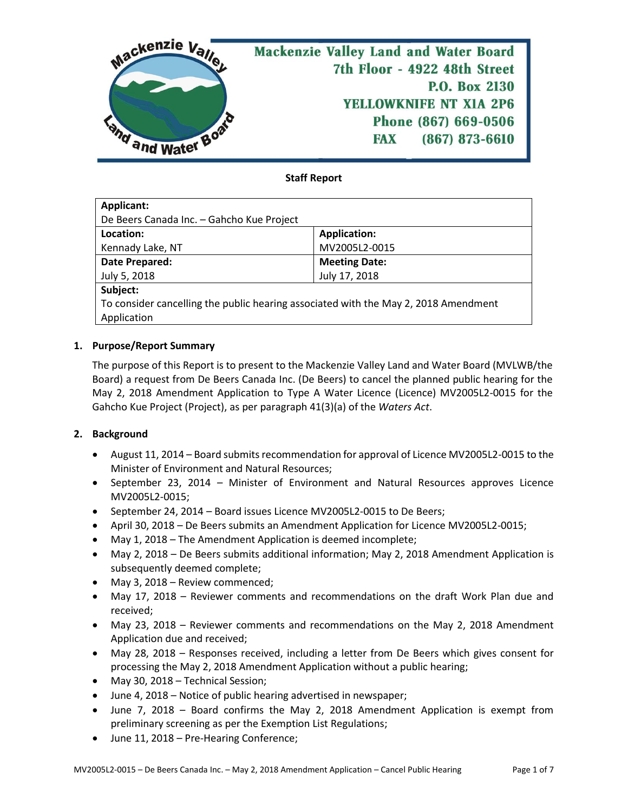

## **Staff Report**

| Applicant:                                                                          |                      |  |  |
|-------------------------------------------------------------------------------------|----------------------|--|--|
| De Beers Canada Inc. - Gahcho Kue Project                                           |                      |  |  |
| Location:                                                                           | <b>Application:</b>  |  |  |
| Kennady Lake, NT                                                                    | MV2005L2-0015        |  |  |
| Date Prepared:                                                                      | <b>Meeting Date:</b> |  |  |
| July 5, 2018                                                                        | July 17, 2018        |  |  |
| Subject:                                                                            |                      |  |  |
| To consider cancelling the public hearing associated with the May 2, 2018 Amendment |                      |  |  |
| Application                                                                         |                      |  |  |

#### **1. Purpose/Report Summary**

The purpose of this Report is to present to the Mackenzie Valley Land and Water Board (MVLWB/the Board) a request from De Beers Canada Inc. (De Beers) to cancel the planned public hearing for the May 2, 2018 Amendment Application to Type A Water Licence (Licence) MV2005L2-0015 for the Gahcho Kue Project (Project), as per paragraph 41(3)(a) of the *Waters Act*.

## **2. Background**

- August 11, 2014 Board submits recommendation for approval of Licence MV2005L2-0015 to the Minister of Environment and Natural Resources;
- September 23, 2014 Minister of Environment and Natural Resources approves Licence MV2005L2-0015;
- September 24, 2014 Board issues Licence MV2005L2-0015 to De Beers;
- April 30, 2018 De Beers submits an Amendment Application for Licence MV2005L2-0015;
- May 1, 2018 The Amendment Application is deemed incomplete;
- May 2, 2018 De Beers submits additional information; May 2, 2018 Amendment Application is subsequently deemed complete;
- May 3, 2018 Review commenced;
- May 17, 2018 Reviewer comments and recommendations on the draft Work Plan due and received;
- May 23, 2018 Reviewer comments and recommendations on the May 2, 2018 Amendment Application due and received;
- May 28, 2018 Responses received, including a letter from De Beers which gives consent for processing the May 2, 2018 Amendment Application without a public hearing;
- May 30, 2018 Technical Session;
- June 4, 2018 Notice of public hearing advertised in newspaper;
- June 7, 2018 Board confirms the May 2, 2018 Amendment Application is exempt from preliminary screening as per the Exemption List Regulations;
- June 11, 2018 Pre-Hearing Conference;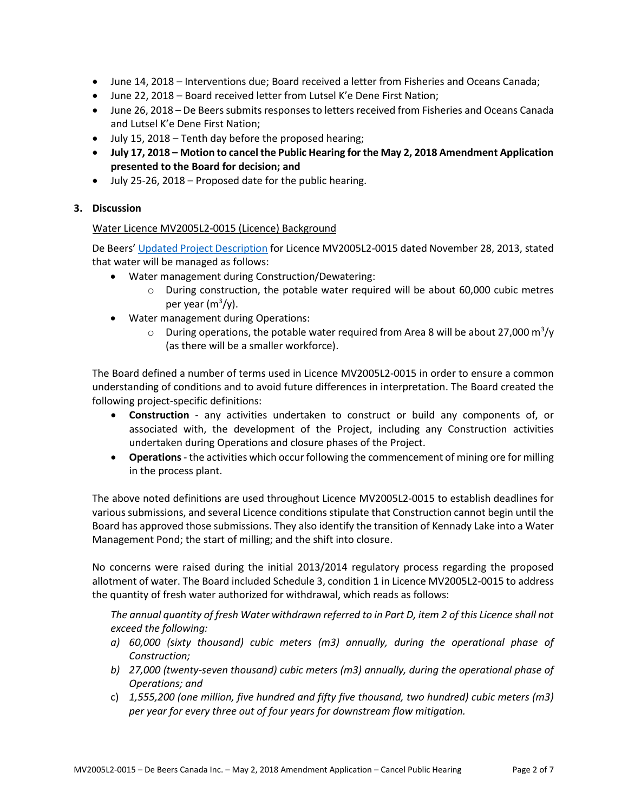- June 14, 2018 Interventions due; Board received a letter from Fisheries and Oceans Canada;
- June 22, 2018 Board received letter from Lutsel K'e Dene First Nation;
- June 26, 2018 De Beers submits responses to letters received from Fisheries and Oceans Canada and Lutsel K'e Dene First Nation;
- July 15, 2018 Tenth day before the proposed hearing;
- **July 17, 2018 – Motion to cancel the Public Hearing for the May 2, 2018 Amendment Application presented to the Board for decision; and**
- July 25-26, 2018 Proposed date for the public hearing.

## **3. Discussion**

#### Water Licence MV2005L2-0015 (Licence) Background

De Beers' [Updated Project Description](http://registry.mvlwb.ca/Documents/MV2005L2-0015/MV2005L2-0015%20-%20De%20Beers%20Gahcho%20Kue%20-%20WL%20Application%20-%20Nov_13.pdf) for Licence MV2005L2-0015 dated November 28, 2013, stated that water will be managed as follows:

- Water management during Construction/Dewatering:
	- o During construction, the potable water required will be about 60,000 cubic metres per year (m<sup>3</sup>/y).
- Water management during Operations:
	- $\circ$  During operations, the potable water required from Area 8 will be about 27,000 m<sup>3</sup>/y (as there will be a smaller workforce).

The Board defined a number of terms used in Licence MV2005L2-0015 in order to ensure a common understanding of conditions and to avoid future differences in interpretation. The Board created the following project-specific definitions:

- **Construction** any activities undertaken to construct or build any components of, or associated with, the development of the Project, including any Construction activities undertaken during Operations and closure phases of the Project.
- **Operations** the activities which occur following the commencement of mining ore for milling in the process plant.

The above noted definitions are used throughout Licence MV2005L2-0015 to establish deadlines for various submissions, and several Licence conditions stipulate that Construction cannot begin until the Board has approved those submissions. They also identify the transition of Kennady Lake into a Water Management Pond; the start of milling; and the shift into closure.

No concerns were raised during the initial 2013/2014 regulatory process regarding the proposed allotment of water. The Board included Schedule 3, condition 1 in Licence MV2005L2-0015 to address the quantity of fresh water authorized for withdrawal, which reads as follows:

*The annual quantity of fresh Water withdrawn referred to in Part D, item 2 of this Licence shall not exceed the following:*

- *a) 60,000 (sixty thousand) cubic meters (m3) annually, during the operational phase of Construction;*
- *b) 27,000 (twenty-seven thousand) cubic meters (m3) annually, during the operational phase of Operations; and*
- c) *1,555,200 (one million, five hundred and fifty five thousand, two hundred) cubic meters (m3) per year for every three out of four years for downstream flow mitigation.*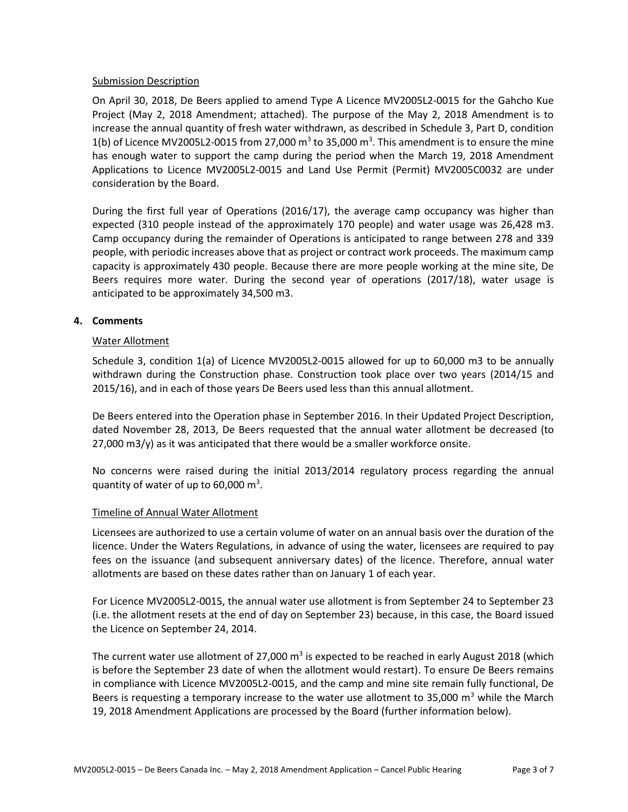#### Submission Description

On April 30, 2018, De Beers applied to amend Type A Licence MV2005L2-0015 for the Gahcho Kue Project (May 2, 2018 Amendment; attached). The purpose of the May 2, 2018 Amendment is to increase the annual quantity of fresh water withdrawn, as described in Schedule 3, Part D, condition 1(b) of Licence MV2005L2-0015 from 27,000  $m^3$  to 35,000  $m^3$ . This amendment is to ensure the mine has enough water to support the camp during the period when the March 19, 2018 Amendment Applications to Licence MV2005L2-0015 and Land Use Permit (Permit) MV2005C0032 are under consideration by the Board.

During the first full year of Operations (2016/17), the average camp occupancy was higher than expected (310 people instead of the approximately 170 people) and water usage was 26,428 m3. Camp occupancy during the remainder of Operations is anticipated to range between 278 and 339 people, with periodic increases above that as project or contract work proceeds. The maximum camp capacity is approximately 430 people. Because there are more people working at the mine site, De Beers requires more water. During the second year of operations (2017/18), water usage is anticipated to be approximately 34,500 m3.

## **4. Comments**

#### Water Allotment

Schedule 3, condition 1(a) of Licence MV2005L2-0015 allowed for up to 60,000 m3 to be annually withdrawn during the Construction phase. Construction took place over two years (2014/15 and 2015/16), and in each of those years De Beers used less than this annual allotment.

De Beers entered into the Operation phase in September 2016. In their Updated Project Description, dated November 28, 2013, De Beers requested that the annual water allotment be decreased (to 27,000 m3/y) as it was anticipated that there would be a smaller workforce onsite.

No concerns were raised during the initial 2013/2014 regulatory process regarding the annual quantity of water of up to 60,000  $\text{m}^3$ .

#### Timeline of Annual Water Allotment

Licensees are authorized to use a certain volume of water on an annual basis over the duration of the licence. Under the Waters Regulations, in advance of using the water, licensees are required to pay fees on the issuance (and subsequent anniversary dates) of the licence. Therefore, annual water allotments are based on these dates rather than on January 1 of each year.

For Licence MV2005L2-0015, the annual water use allotment is from September 24 to September 23 (i.e. the allotment resets at the end of day on September 23) because, in this case, the Board issued the Licence on September 24, 2014.

The current water use allotment of 27,000  $m^3$  is expected to be reached in early August 2018 (which is before the September 23 date of when the allotment would restart). To ensure De Beers remains in compliance with Licence MV2005L2-0015, and the camp and mine site remain fully functional, De Beers is requesting a temporary increase to the water use allotment to 35,000  $\text{m}^3$  while the March 19, 2018 Amendment Applications are processed by the Board (further information below).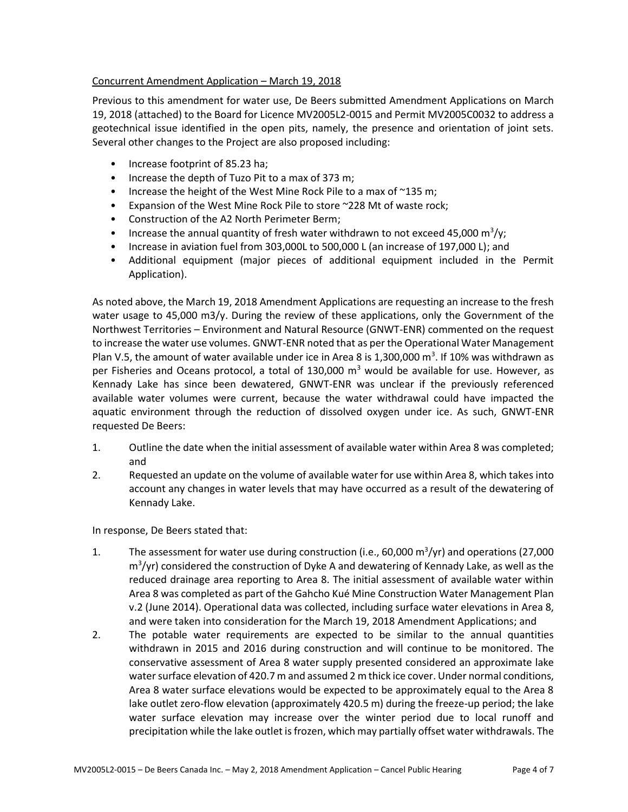## Concurrent Amendment Application – March 19, 2018

Previous to this amendment for water use, De Beers submitted Amendment Applications on March 19, 2018 (attached) to the Board for Licence MV2005L2-0015 and Permit MV2005C0032 to address a geotechnical issue identified in the open pits, namely, the presence and orientation of joint sets. Several other changes to the Project are also proposed including:

- Increase footprint of 85.23 ha;
- Increase the depth of Tuzo Pit to a max of 373 m;
- Increase the height of the West Mine Rock Pile to a max of ~135 m;
- Expansion of the West Mine Rock Pile to store ~228 Mt of waste rock;
- Construction of the A2 North Perimeter Berm;
- Increase the annual quantity of fresh water withdrawn to not exceed 45,000 m<sup>3</sup>/y;
- Increase in aviation fuel from 303,000L to 500,000 L (an increase of 197,000 L); and
- Additional equipment (major pieces of additional equipment included in the Permit Application).

As noted above, the March 19, 2018 Amendment Applications are requesting an increase to the fresh water usage to 45,000 m3/y. During the review of these applications, only the Government of the Northwest Territories – Environment and Natural Resource (GNWT-ENR) commented on the request to increase the water use volumes. GNWT-ENR noted that as per the Operational Water Management Plan V.5, the amount of water available under ice in Area 8 is 1,300,000  $\text{m}^3$ . If 10% was withdrawn as per Fisheries and Oceans protocol, a total of 130,000  $m<sup>3</sup>$  would be available for use. However, as Kennady Lake has since been dewatered, GNWT-ENR was unclear if the previously referenced available water volumes were current, because the water withdrawal could have impacted the aquatic environment through the reduction of dissolved oxygen under ice. As such, GNWT-ENR requested De Beers:

- 1. Outline the date when the initial assessment of available water within Area 8 was completed; and
- 2. Requested an update on the volume of available water for use within Area 8, which takes into account any changes in water levels that may have occurred as a result of the dewatering of Kennady Lake.

In response, De Beers stated that:

- 1. The assessment for water use during construction (i.e., 60,000  $\mathrm{m}^3/\mathrm{yr}$ ) and operations (27,000 m<sup>3</sup>/yr) considered the construction of Dyke A and dewatering of Kennady Lake, as well as the reduced drainage area reporting to Area 8. The initial assessment of available water within Area 8 was completed as part of the Gahcho Kué Mine Construction Water Management Plan v.2 (June 2014). Operational data was collected, including surface water elevations in Area 8, and were taken into consideration for the March 19, 2018 Amendment Applications; and
- 2. The potable water requirements are expected to be similar to the annual quantities withdrawn in 2015 and 2016 during construction and will continue to be monitored. The conservative assessment of Area 8 water supply presented considered an approximate lake water surface elevation of 420.7 m and assumed 2 m thick ice cover. Under normal conditions, Area 8 water surface elevations would be expected to be approximately equal to the Area 8 lake outlet zero-flow elevation (approximately 420.5 m) during the freeze-up period; the lake water surface elevation may increase over the winter period due to local runoff and precipitation while the lake outlet is frozen, which may partially offset water withdrawals. The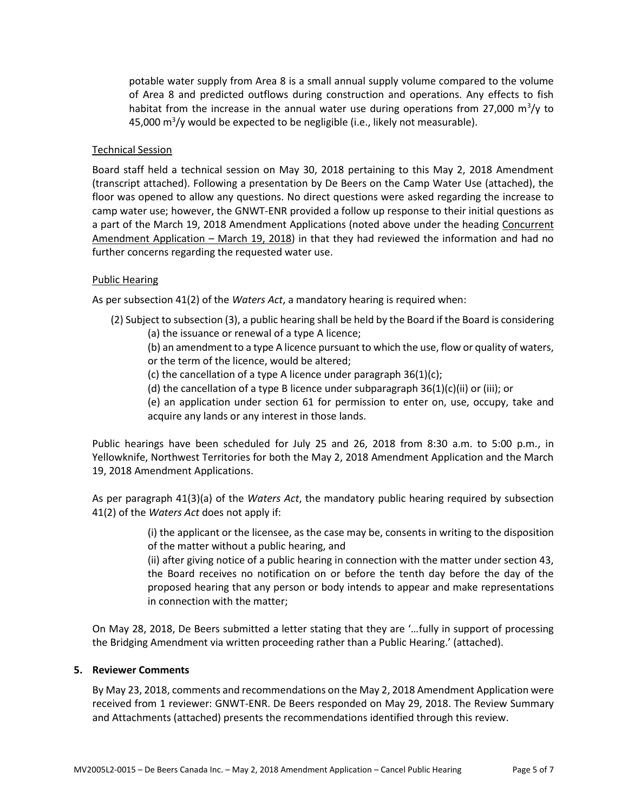potable water supply from Area 8 is a small annual supply volume compared to the volume of Area 8 and predicted outflows during construction and operations. Any effects to fish habitat from the increase in the annual water use during operations from 27,000  $\mathrm{m}^3/\mathrm{y}$  to 45,000 m<sup>3</sup>/y would be expected to be negligible (i.e., likely not measurable).

#### Technical Session

Board staff held a technical session on May 30, 2018 pertaining to this May 2, 2018 Amendment (transcript attached). Following a presentation by De Beers on the Camp Water Use (attached), the floor was opened to allow any questions. No direct questions were asked regarding the increase to camp water use; however, the GNWT-ENR provided a follow up response to their initial questions as a part of the March 19, 2018 Amendment Applications (noted above under the heading Concurrent Amendment Application - March 19, 2018) in that they had reviewed the information and had no further concerns regarding the requested water use.

#### Public Hearing

As per subsection 41(2) of the *Waters Act*, a mandatory hearing is required when:

- (2) Subject to subsection (3), a public hearing shall be held by the Board if the Board is considering (a) the issuance or renewal of a type A licence;
	- (b) an amendment to a type A licence pursuant to which the use, flow or quality of waters, or the term of the licence, would be altered;
	- (c) the cancellation of a type A licence under paragraph 36(1)(c);
	- (d) the cancellation of a type B licence under subparagraph 36(1)(c)(ii) or (iii); or
	- (e) an application under section 61 for permission to enter on, use, occupy, take and acquire any lands or any interest in those lands.

Public hearings have been scheduled for July 25 and 26, 2018 from 8:30 a.m. to 5:00 p.m., in Yellowknife, Northwest Territories for both the May 2, 2018 Amendment Application and the March 19, 2018 Amendment Applications.

As per paragraph 41(3)(a) of the *Waters Act*, the mandatory public hearing required by subsection 41(2) of the *Waters Act* does not apply if:

> (i) the applicant or the licensee, as the case may be, consents in writing to the disposition of the matter without a public hearing, and

> (ii) after giving notice of a public hearing in connection with the matter under section 43, the Board receives no notification on or before the tenth day before the day of the proposed hearing that any person or body intends to appear and make representations in connection with the matter;

On May 28, 2018, De Beers submitted a letter stating that they are '…fully in support of processing the Bridging Amendment via written proceeding rather than a Public Hearing.' (attached).

#### **5. Reviewer Comments**

By May 23, 2018, comments and recommendations on the May 2, 2018 Amendment Application were received from 1 reviewer: GNWT-ENR. De Beers responded on May 29, 2018. The Review Summary and Attachments (attached) presents the recommendations identified through this review.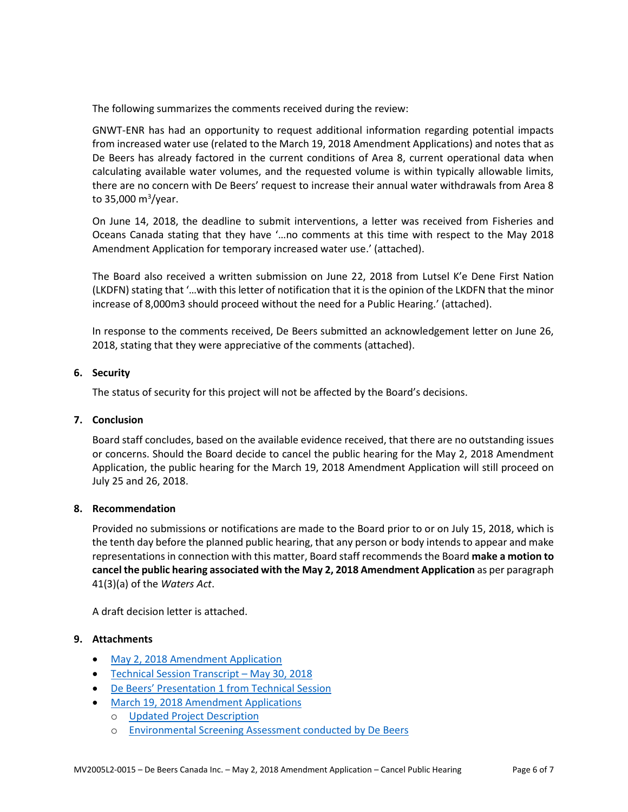The following summarizes the comments received during the review:

GNWT-ENR has had an opportunity to request additional information regarding potential impacts from increased water use (related to the March 19, 2018 Amendment Applications) and notes that as De Beers has already factored in the current conditions of Area 8, current operational data when calculating available water volumes, and the requested volume is within typically allowable limits, there are no concern with De Beers' request to increase their annual water withdrawals from Area 8 to 35,000 m<sup>3</sup>/year.

On June 14, 2018, the deadline to submit interventions, a letter was received from Fisheries and Oceans Canada stating that they have '…no comments at this time with respect to the May 2018 Amendment Application for temporary increased water use.' (attached).

The Board also received a written submission on June 22, 2018 from Lutsel K'e Dene First Nation (LKDFN) stating that '…with this letter of notification that it is the opinion of the LKDFN that the minor increase of 8,000m3 should proceed without the need for a Public Hearing.' (attached).

In response to the comments received, De Beers submitted an acknowledgement letter on June 26, 2018, stating that they were appreciative of the comments (attached).

#### **6. Security**

The status of security for this project will not be affected by the Board's decisions.

#### **7. Conclusion**

Board staff concludes, based on the available evidence received, that there are no outstanding issues or concerns. Should the Board decide to cancel the public hearing for the May 2, 2018 Amendment Application, the public hearing for the March 19, 2018 Amendment Application will still proceed on July 25 and 26, 2018.

## **8. Recommendation**

Provided no submissions or notifications are made to the Board prior to or on July 15, 2018, which is the tenth day before the planned public hearing, that any person or body intends to appear and make representations in connection with this matter, Board staff recommends the Board **make a motion to cancel the public hearing associated with the May 2, 2018 Amendment Application** as per paragraph 41(3)(a) of the *Waters Act*.

A draft decision letter is attached.

## **9. Attachments**

- [May 2, 2018 Amendment Application](http://registry.mvlwb.ca/Documents/MV2005L2-0015/MV2005L2-0015%20–%20De%20Beers%20Gahcho%20Kue%20–%20Type%20A%20WL%20Bridging%20Amendment%20Application%20–%20Water%20Use%20for%20Camp%20–%20May2-18.pdf)
- [Technical Session Transcript](http://registry.mvlwb.ca/Documents/MV2005L2-0015/MV2005C0032%20MV200L2-0015%20-%20De%20Beers%20Gahcho%20Kue%20-%20March%20and%20May%202018%20Amendments%20-%20Tech%20Session%20Transcript%20V2%20-%20May%2030_18.pdfhttp:/registry.mvlwb.ca/Documents/MV2005L2-0015/MV2005C0032%20MV200L2-0015%20-%20De%20Beers%20Gahcho%20Kue%20-%20March%20and%20May%202018%20Amendments%20-%20Tech%20Session%20Transcript%20V2%20-%20May%2030_18.pdf)  May 30, 2018
- De Beers' Presentation [1 from Technical Session](http://registry.mvlwb.ca/Documents/MV2005L2-0015/MV2005C0032%20MV2005L2-0015%20-%20De%20Beers%20Gahcho%20Kue%20-%20Amendment%20Applictaions%20-%20De%20Beers%20Presentation%20at%20Technical%20Session%201.pdf)
- [March 19, 2018 Amendment Applications](http://registry.mvlwb.ca/Documents/MV2005L2-0015/MV2005C0032%20MV2005L2-0015%20-%20De%20Beers%20Gahcho%20Kue%20-%20Amendment%20-%20Application%20and%20Forms%20-%20March%2019_18.pdf)
	- o [Updated Project Description](http://registry.mvlwb.ca/Documents/MV2005L2-0015/MV2005C0032%20MV2005L2-0015%20-%20De%20Beers%20Gahcho%20Kue%20-%20Amendment%20-%20Updated%20Project%20Description%20-%20March%2019_18.pdf)
	- o [Environmental Screening Assessment conducted by De Beers](http://registry.mvlwb.ca/Documents/MV2005L2-0015/MV2005C0032%20MV2005L2-0015%20-%20De%20Beers%20Gahcho%20Kue%20-%20Amendment%20-%20Environmental%20Screening%20Assessment%20-%20March%2019_18.pdf)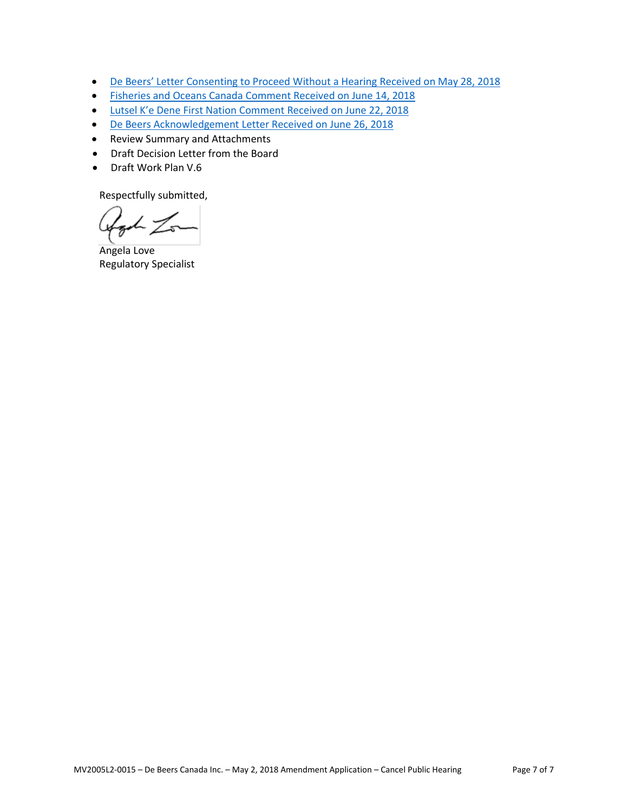- De Beers' [Letter Consenting to Proceed Without a Hearing](http://registry.mvlwb.ca/Documents/MV2005L2-0015/MV2005L2-0015%20-%20De%20Beers%20Gahcho%20Kue%20-%20May%202018%20Amendment%20Application%20-%20Consent%20to%20proceed%20without%20a%20hearing%20-%20May%2028_18.pdf) Received on May 28, 2018
- [Fisheries and Oceans Canada Comment](http://registry.mvlwb.ca/Documents/MV2005L2-0015/MV2005L2-0015%20-%20De%20Beers%20Gahcho%20Kue%20-%20May%202018%20Amendment%20Application%20-%20DFO%20Comments%20-%20June%2014_18.pdf) Received on June 14, 2018
- Lutsel K'e Dene First Nation [Comment Received on June 22, 2018](http://registry.mvlwb.ca/Documents/MV2005L2-0015/MV2005L2-0015%20-%20De%20Beers%20Gahcho%20Kue%20-%20May%202018%20Amendment%20Application%20-%20LKDNF%20Comments%20-%20June%2022_18.pdf)
- [De Beers Acknowledgement Letter Received on June 26, 2018](http://registry.mvlwb.ca/Documents/MV2005L2-0015/MV2005L2-0015%20-%20De%20Beers%20Gahcho%20Kue%20-%20May%202018%20Amendment%20Application%20-%20De%20Beers%20Response%20to%20Comments%20-%20June%2026_18.pdf)
- Review Summary and Attachments
- Draft Decision Letter from the Board
- Draft Work Plan V.6

Respectfully submitted,

Agod Zon

Angela Love Regulatory Specialist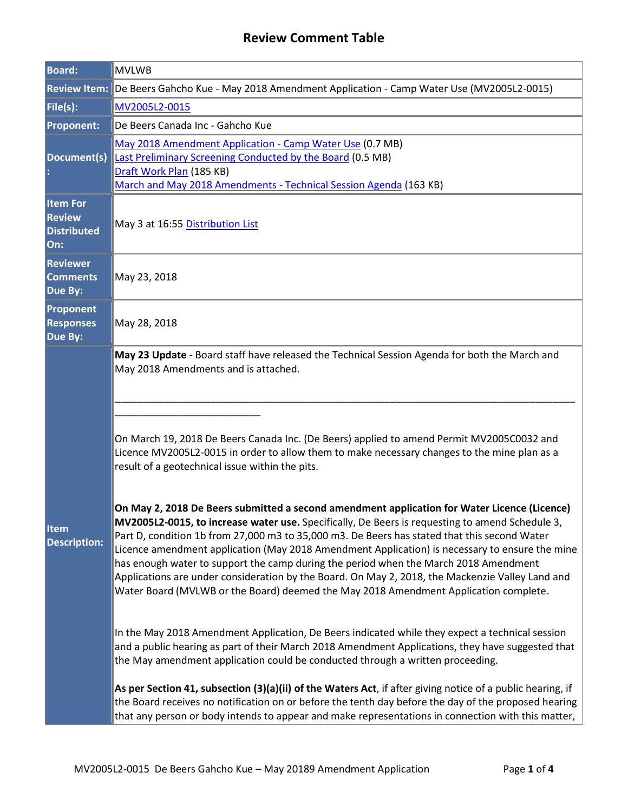# **Review Comment Table**

| <b>Board:</b>                                                 | <b>MVLWB</b>                                                                                                                                                                                                                                                                                                                                                                                                                                                                                                                                                                                                                                                                                                                                                                                                                                                                                                                                                                                                                                                                                                                                                                                                                                                                                                                                                                                                                                                                                  |  |  |
|---------------------------------------------------------------|-----------------------------------------------------------------------------------------------------------------------------------------------------------------------------------------------------------------------------------------------------------------------------------------------------------------------------------------------------------------------------------------------------------------------------------------------------------------------------------------------------------------------------------------------------------------------------------------------------------------------------------------------------------------------------------------------------------------------------------------------------------------------------------------------------------------------------------------------------------------------------------------------------------------------------------------------------------------------------------------------------------------------------------------------------------------------------------------------------------------------------------------------------------------------------------------------------------------------------------------------------------------------------------------------------------------------------------------------------------------------------------------------------------------------------------------------------------------------------------------------|--|--|
|                                                               | Review Item: De Beers Gahcho Kue - May 2018 Amendment Application - Camp Water Use (MV2005L2-0015)                                                                                                                                                                                                                                                                                                                                                                                                                                                                                                                                                                                                                                                                                                                                                                                                                                                                                                                                                                                                                                                                                                                                                                                                                                                                                                                                                                                            |  |  |
| File(s):                                                      | MV2005L2-0015                                                                                                                                                                                                                                                                                                                                                                                                                                                                                                                                                                                                                                                                                                                                                                                                                                                                                                                                                                                                                                                                                                                                                                                                                                                                                                                                                                                                                                                                                 |  |  |
| <b>Proponent:</b>                                             | De Beers Canada Inc - Gahcho Kue                                                                                                                                                                                                                                                                                                                                                                                                                                                                                                                                                                                                                                                                                                                                                                                                                                                                                                                                                                                                                                                                                                                                                                                                                                                                                                                                                                                                                                                              |  |  |
| Document(s)                                                   | May 2018 Amendment Application - Camp Water Use (0.7 MB)<br><b>Last Preliminary Screening Conducted by the Board (0.5 MB)</b><br>Draft Work Plan (185 KB)<br>March and May 2018 Amendments - Technical Session Agenda (163 KB)                                                                                                                                                                                                                                                                                                                                                                                                                                                                                                                                                                                                                                                                                                                                                                                                                                                                                                                                                                                                                                                                                                                                                                                                                                                                |  |  |
| <b>Item For</b><br><b>Review</b><br><b>Distributed</b><br>On: | May 3 at 16:55 Distribution List                                                                                                                                                                                                                                                                                                                                                                                                                                                                                                                                                                                                                                                                                                                                                                                                                                                                                                                                                                                                                                                                                                                                                                                                                                                                                                                                                                                                                                                              |  |  |
| <b>Reviewer</b><br><b>Comments</b><br>Due By:                 | May 23, 2018                                                                                                                                                                                                                                                                                                                                                                                                                                                                                                                                                                                                                                                                                                                                                                                                                                                                                                                                                                                                                                                                                                                                                                                                                                                                                                                                                                                                                                                                                  |  |  |
| <b>Proponent</b><br><b>Responses</b><br>Due By:               | May 28, 2018                                                                                                                                                                                                                                                                                                                                                                                                                                                                                                                                                                                                                                                                                                                                                                                                                                                                                                                                                                                                                                                                                                                                                                                                                                                                                                                                                                                                                                                                                  |  |  |
| <b>Item</b><br><b>Description:</b>                            | May 2018 Amendments and is attached.<br>On March 19, 2018 De Beers Canada Inc. (De Beers) applied to amend Permit MV2005C0032 and<br>Licence MV2005L2-0015 in order to allow them to make necessary changes to the mine plan as a<br>result of a geotechnical issue within the pits.<br>On May 2, 2018 De Beers submitted a second amendment application for Water Licence (Licence)<br>MV2005L2-0015, to increase water use. Specifically, De Beers is requesting to amend Schedule 3,<br>Part D, condition 1b from 27,000 m3 to 35,000 m3. De Beers has stated that this second Water<br>Licence amendment application (May 2018 Amendment Application) is necessary to ensure the mine<br>has enough water to support the camp during the period when the March 2018 Amendment<br>Applications are under consideration by the Board. On May 2, 2018, the Mackenzie Valley Land and<br>Water Board (MVLWB or the Board) deemed the May 2018 Amendment Application complete.<br>In the May 2018 Amendment Application, De Beers indicated while they expect a technical session<br>and a public hearing as part of their March 2018 Amendment Applications, they have suggested that<br>the May amendment application could be conducted through a written proceeding.<br>As per Section 41, subsection (3)(a)(ii) of the Waters Act, if after giving notice of a public hearing, if<br>the Board receives no notification on or before the tenth day before the day of the proposed hearing |  |  |
|                                                               | May 23 Update - Board staff have released the Technical Session Agenda for both the March and                                                                                                                                                                                                                                                                                                                                                                                                                                                                                                                                                                                                                                                                                                                                                                                                                                                                                                                                                                                                                                                                                                                                                                                                                                                                                                                                                                                                 |  |  |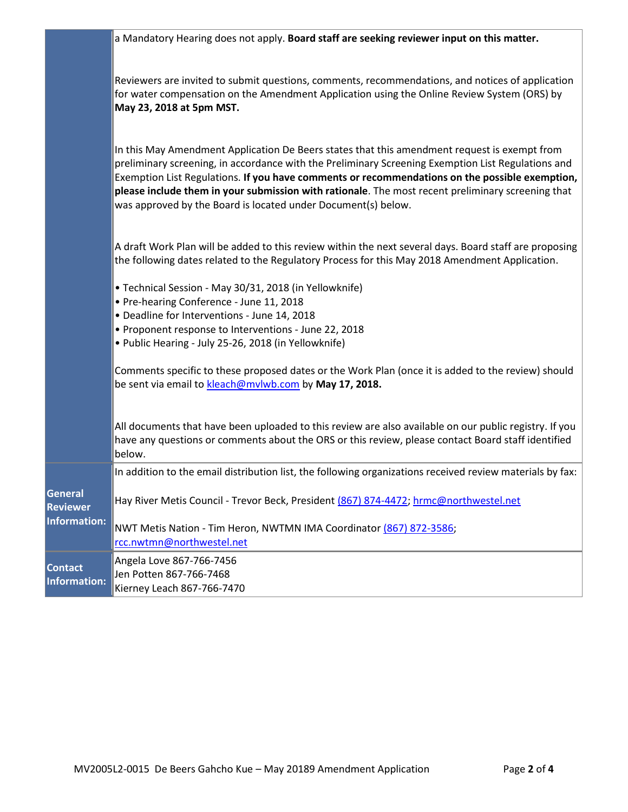|                                       | a Mandatory Hearing does not apply. Board staff are seeking reviewer input on this matter.                                                                                                                                                                                                                                                                                                                                                                                 |  |  |  |
|---------------------------------------|----------------------------------------------------------------------------------------------------------------------------------------------------------------------------------------------------------------------------------------------------------------------------------------------------------------------------------------------------------------------------------------------------------------------------------------------------------------------------|--|--|--|
|                                       |                                                                                                                                                                                                                                                                                                                                                                                                                                                                            |  |  |  |
|                                       | Reviewers are invited to submit questions, comments, recommendations, and notices of application<br>for water compensation on the Amendment Application using the Online Review System (ORS) by<br>May 23, 2018 at 5pm MST.                                                                                                                                                                                                                                                |  |  |  |
|                                       | In this May Amendment Application De Beers states that this amendment request is exempt from<br>preliminary screening, in accordance with the Preliminary Screening Exemption List Regulations and<br>Exemption List Regulations. If you have comments or recommendations on the possible exemption,<br>please include them in your submission with rationale. The most recent preliminary screening that<br>was approved by the Board is located under Document(s) below. |  |  |  |
|                                       | A draft Work Plan will be added to this review within the next several days. Board staff are proposing<br>the following dates related to the Regulatory Process for this May 2018 Amendment Application.                                                                                                                                                                                                                                                                   |  |  |  |
|                                       | • Technical Session - May 30/31, 2018 (in Yellowknife)<br>• Pre-hearing Conference - June 11, 2018<br>· Deadline for Interventions - June 14, 2018                                                                                                                                                                                                                                                                                                                         |  |  |  |
|                                       | • Proponent response to Interventions - June 22, 2018<br>· Public Hearing - July 25-26, 2018 (in Yellowknife)                                                                                                                                                                                                                                                                                                                                                              |  |  |  |
|                                       | Comments specific to these proposed dates or the Work Plan (once it is added to the review) should<br>be sent via email to kleach@mvlwb.com by May 17, 2018.                                                                                                                                                                                                                                                                                                               |  |  |  |
|                                       | All documents that have been uploaded to this review are also available on our public registry. If you<br>have any questions or comments about the ORS or this review, please contact Board staff identified<br>below.                                                                                                                                                                                                                                                     |  |  |  |
|                                       | In addition to the email distribution list, the following organizations received review materials by fax:                                                                                                                                                                                                                                                                                                                                                                  |  |  |  |
| General<br><b>Reviewer</b>            | Hay River Metis Council - Trevor Beck, President (867) 874-4472; hrmc@northwestel.net                                                                                                                                                                                                                                                                                                                                                                                      |  |  |  |
| <b>Information:</b>                   | NWT Metis Nation - Tim Heron, NWTMN IMA Coordinator (867) 872-3586;<br>rcc.nwtmn@northwestel.net                                                                                                                                                                                                                                                                                                                                                                           |  |  |  |
| <b>Contact</b><br><b>Information:</b> | Angela Love 867-766-7456<br>Jen Potten 867-766-7468<br>Kierney Leach 867-766-7470                                                                                                                                                                                                                                                                                                                                                                                          |  |  |  |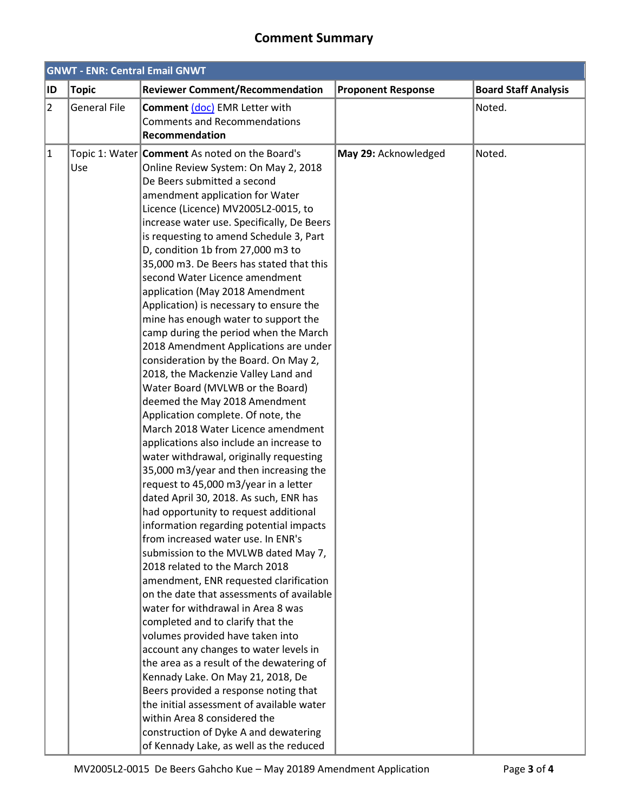## **Comment Summary**

| <b>GNWT - ENR: Central Email GNWT</b> |                     |                                                                                                                                                                                                                                                                                                                                                                                                                                                                                                                                                                                                                                                                                                                                                                                                                                                                                                                                                                                                                                                                                                                                                                                                                                                                                                                                                                                                                                                                                                                                                                                                                                                                                                                                                                                                                          |                           |                             |  |
|---------------------------------------|---------------------|--------------------------------------------------------------------------------------------------------------------------------------------------------------------------------------------------------------------------------------------------------------------------------------------------------------------------------------------------------------------------------------------------------------------------------------------------------------------------------------------------------------------------------------------------------------------------------------------------------------------------------------------------------------------------------------------------------------------------------------------------------------------------------------------------------------------------------------------------------------------------------------------------------------------------------------------------------------------------------------------------------------------------------------------------------------------------------------------------------------------------------------------------------------------------------------------------------------------------------------------------------------------------------------------------------------------------------------------------------------------------------------------------------------------------------------------------------------------------------------------------------------------------------------------------------------------------------------------------------------------------------------------------------------------------------------------------------------------------------------------------------------------------------------------------------------------------|---------------------------|-----------------------------|--|
| ID                                    | <b>Topic</b>        | <b>Reviewer Comment/Recommendation</b>                                                                                                                                                                                                                                                                                                                                                                                                                                                                                                                                                                                                                                                                                                                                                                                                                                                                                                                                                                                                                                                                                                                                                                                                                                                                                                                                                                                                                                                                                                                                                                                                                                                                                                                                                                                   | <b>Proponent Response</b> | <b>Board Staff Analysis</b> |  |
| $\overline{2}$                        | <b>General File</b> | Comment (doc) EMR Letter with<br><b>Comments and Recommendations</b><br>Recommendation                                                                                                                                                                                                                                                                                                                                                                                                                                                                                                                                                                                                                                                                                                                                                                                                                                                                                                                                                                                                                                                                                                                                                                                                                                                                                                                                                                                                                                                                                                                                                                                                                                                                                                                                   |                           | Noted.                      |  |
| $\vert$ 1                             | Use                 | Topic 1: Water Comment As noted on the Board's<br>Online Review System: On May 2, 2018<br>De Beers submitted a second<br>amendment application for Water<br>Licence (Licence) MV2005L2-0015, to<br>increase water use. Specifically, De Beers<br>is requesting to amend Schedule 3, Part<br>D, condition 1b from 27,000 m3 to<br>35,000 m3. De Beers has stated that this<br>second Water Licence amendment<br>application (May 2018 Amendment<br>Application) is necessary to ensure the<br>mine has enough water to support the<br>camp during the period when the March<br>2018 Amendment Applications are under<br>consideration by the Board. On May 2,<br>2018, the Mackenzie Valley Land and<br>Water Board (MVLWB or the Board)<br>deemed the May 2018 Amendment<br>Application complete. Of note, the<br>March 2018 Water Licence amendment<br>applications also include an increase to<br>water withdrawal, originally requesting<br>35,000 m3/year and then increasing the<br>request to 45,000 m3/year in a letter<br>dated April 30, 2018. As such, ENR has<br>had opportunity to request additional<br>information regarding potential impacts<br>from increased water use. In ENR's<br>submission to the MVLWB dated May 7,<br>2018 related to the March 2018<br>amendment, ENR requested clarification<br>on the date that assessments of available<br>water for withdrawal in Area 8 was<br>completed and to clarify that the<br>volumes provided have taken into<br>account any changes to water levels in<br>the area as a result of the dewatering of<br>Kennady Lake. On May 21, 2018, De<br>Beers provided a response noting that<br>the initial assessment of available water<br>within Area 8 considered the<br>construction of Dyke A and dewatering<br>of Kennady Lake, as well as the reduced | May 29: Acknowledged      | Noted.                      |  |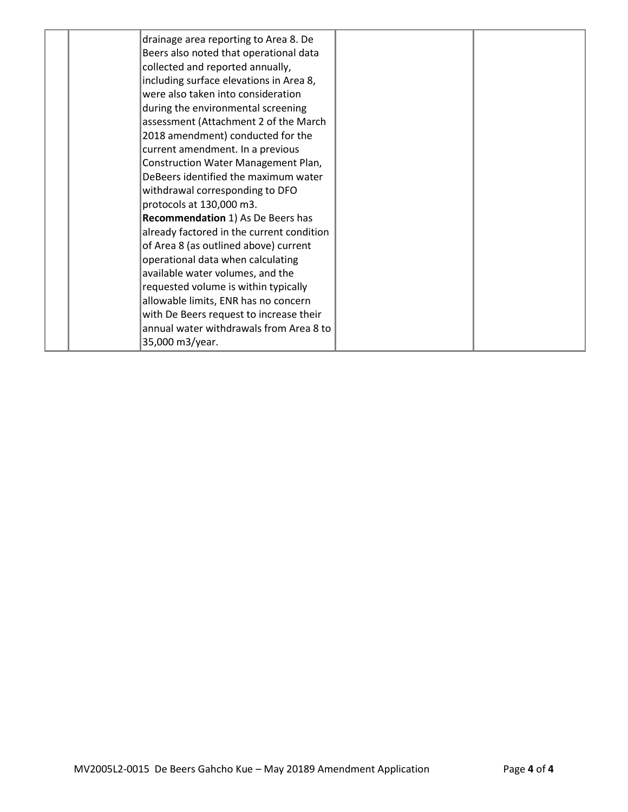|  | drainage area reporting to Area 8. De     |  |
|--|-------------------------------------------|--|
|  | Beers also noted that operational data    |  |
|  | collected and reported annually,          |  |
|  | including surface elevations in Area 8,   |  |
|  | were also taken into consideration        |  |
|  | during the environmental screening        |  |
|  | assessment (Attachment 2 of the March     |  |
|  | 2018 amendment) conducted for the         |  |
|  | current amendment. In a previous          |  |
|  | Construction Water Management Plan,       |  |
|  | DeBeers identified the maximum water      |  |
|  | withdrawal corresponding to DFO           |  |
|  | protocols at 130,000 m3.                  |  |
|  | Recommendation 1) As De Beers has         |  |
|  | already factored in the current condition |  |
|  | of Area 8 (as outlined above) current     |  |
|  | operational data when calculating         |  |
|  | available water volumes, and the          |  |
|  | requested volume is within typically      |  |
|  | allowable limits, ENR has no concern      |  |
|  | with De Beers request to increase their   |  |
|  | annual water withdrawals from Area 8 to   |  |
|  | 35,000 m3/year.                           |  |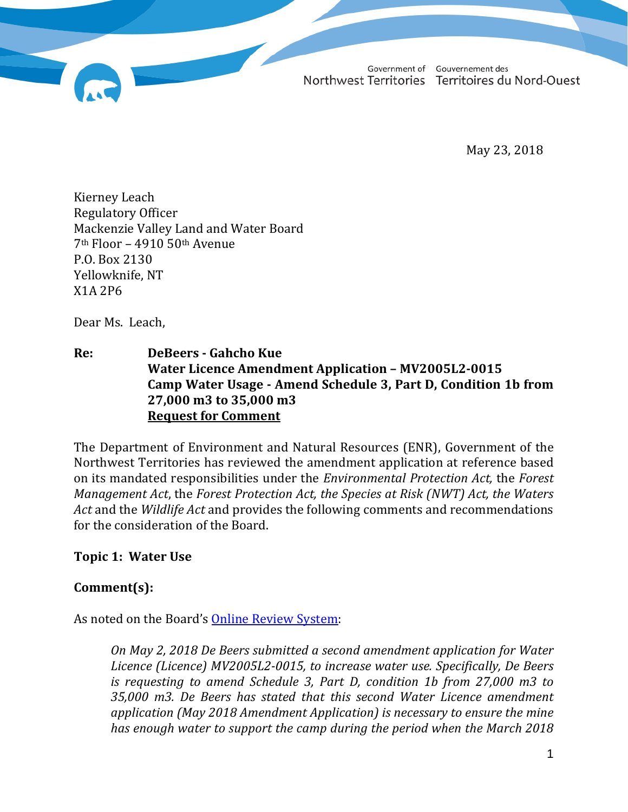Government of Gouvernement des Northwest Territories Territoires du Nord-Ouest

May 23, 2018

Kierney Leach Regulatory Officer Mackenzie Valley Land and Water Board 7th Floor – 4910 50th Avenue P.O. Box 2130 Yellowknife, NT X1A 2P6

Dear Ms. Leach,

**Re: DeBeers - Gahcho Kue Water Licence Amendment Application – MV2005L2-0015 Camp Water Usage - Amend Schedule 3, Part D, Condition 1b from 27,000 m3 to 35,000 m3 Request for Comment**

The Department of Environment and Natural Resources (ENR), Government of the Northwest Territories has reviewed the amendment application at reference based on its mandated responsibilities under the *Environmental Protection Act,* the *Forest Management Act*, the *Forest Protection Act, the Species at Risk (NWT) Act, the Waters Act* and the *Wildlife Act* and provides the following comments and recommendations for the consideration of the Board.

**Topic 1: Water Use**

## **Comment(s):**

As noted on the Board's **Online Review System**:

*On May 2, 2018 De Beers submitted a second amendment application for Water Licence (Licence) MV2005L2-0015, to increase water use. Specifically, De Beers is requesting to amend Schedule 3, Part D, condition 1b from 27,000 m3 to 35,000 m3. De Beers has stated that this second Water Licence amendment application (May 2018 Amendment Application) is necessary to ensure the mine has enough water to support the camp during the period when the March 2018*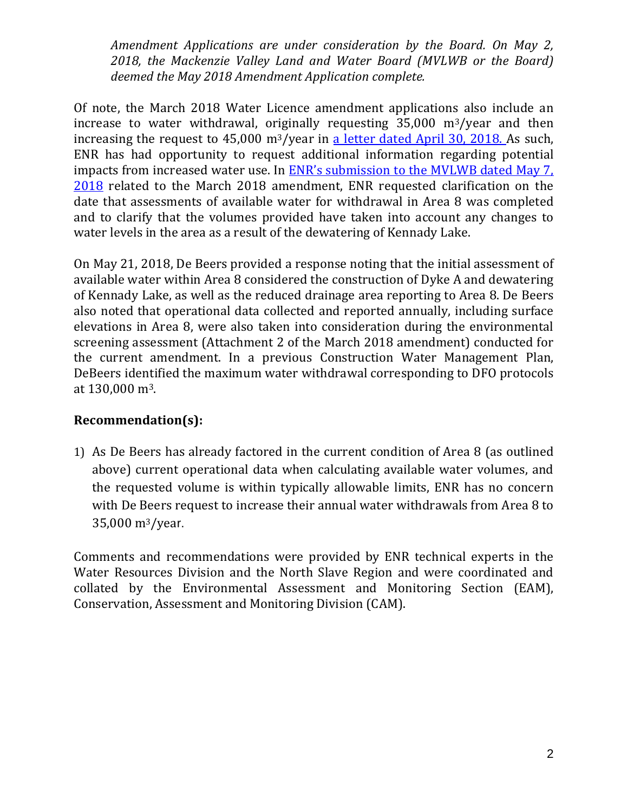*Amendment Applications are under consideration by the Board. On May 2, 2018, the Mackenzie Valley Land and Water Board (MVLWB or the Board) deemed the May 2018 Amendment Application complete.*

Of note, the March 2018 Water Licence amendment applications also include an increase to water withdrawal, originally requesting 35,000 m3/year and then increasing the request to 45,000 m<sup>3</sup>/year in [a letter dated April 30, 2018. A](http://registry.mvlwb.ca/Documents/MV2005L2-0015/MV2005L2-0015%20-%20De%20Beers%20Gahcho%20Kue%20-%20Update%20to%20Amendment%20-%20Water%20intake%20volume%20change%20-%20Apr30-18.pdf)s such, ENR has had opportunity to request additional information regarding potential impacts from increased water use. In [ENR's submission to the MVLWB dated May 7,](http://216.126.96.250/LWB_IMS/WebAccess/IMS_P1427_Orig/MVLWB/czJ2G_2018-05-07%20-%20%20Adobe%20-%20ENR%20Letter%20to%20the%20Board%20-%20DeBeers%20Gahcho%20Kue%20-%20MV2005L2-0015%20-%20ENR%20Comment.pdf)  [2018](http://216.126.96.250/LWB_IMS/WebAccess/IMS_P1427_Orig/MVLWB/czJ2G_2018-05-07%20-%20%20Adobe%20-%20ENR%20Letter%20to%20the%20Board%20-%20DeBeers%20Gahcho%20Kue%20-%20MV2005L2-0015%20-%20ENR%20Comment.pdf) related to the March 2018 amendment, ENR requested clarification on the date that assessments of available water for withdrawal in Area 8 was completed and to clarify that the volumes provided have taken into account any changes to water levels in the area as a result of the dewatering of Kennady Lake.

On May 21, 2018, De Beers provided a response noting that the initial assessment of available water within Area 8 considered the construction of Dyke A and dewatering of Kennady Lake, as well as the reduced drainage area reporting to Area 8. De Beers also noted that operational data collected and reported annually, including surface elevations in Area 8, were also taken into consideration during the environmental screening assessment (Attachment 2 of the March 2018 amendment) conducted for the current amendment. In a previous Construction Water Management Plan, DeBeers identified the maximum water withdrawal corresponding to DFO protocols at 130,000 m3.

# **Recommendation(s):**

1) As De Beers has already factored in the current condition of Area 8 (as outlined above) current operational data when calculating available water volumes, and the requested volume is within typically allowable limits, ENR has no concern with De Beers request to increase their annual water withdrawals from Area 8 to 35,000 m3/year.

Comments and recommendations were provided by ENR technical experts in the Water Resources Division and the North Slave Region and were coordinated and collated by the Environmental Assessment and Monitoring Section (EAM), Conservation, Assessment and Monitoring Division (CAM).